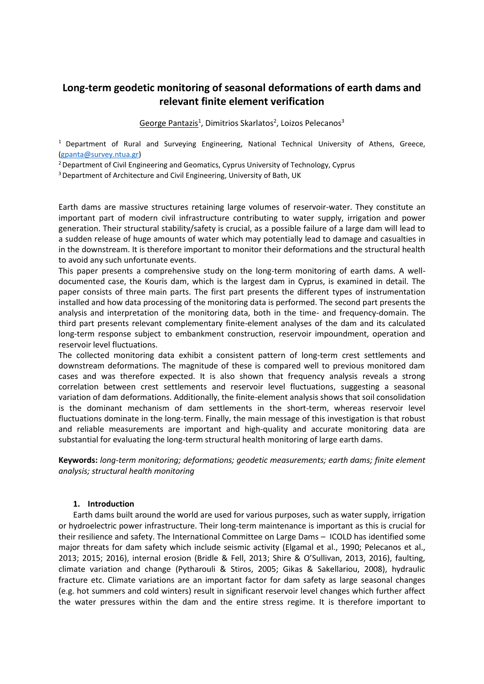# **Long-term geodetic monitoring of seasonal deformations of earth dams and relevant finite element verification**

George Pantazis<sup>1</sup>, Dimitrios Skarlatos<sup>2</sup>, Loizos Pelecanos<sup>3</sup>

 $1$  Department of Rural and Surveying Engineering, National Technical University of Athens, Greece, (gpanta@survey.ntua.gr)

<sup>2</sup> Department of Civil Engineering and Geomatics, Cyprus University of Technology, Cyprus

<sup>3</sup> Department of Architecture and Civil Engineering, University of Bath, UK

Earth dams are massive structures retaining large volumes of reservoir-water. They constitute an important part of modern civil infrastructure contributing to water supply, irrigation and power generation. Their structural stability/safety is crucial, as a possible failure of a large dam will lead to a sudden release of huge amounts of water which may potentially lead to damage and casualties in in the downstream. It is therefore important to monitor their deformations and the structural health to avoid any such unfortunate events.

This paper presents a comprehensive study on the long-term monitoring of earth dams. A welldocumented case, the Kouris dam, which is the largest dam in Cyprus, is examined in detail. The paper consists of three main parts. The first part presents the different types of instrumentation installed and how data processing of the monitoring data is performed. The second part presents the analysis and interpretation of the monitoring data, both in the time- and frequency-domain. The third part presents relevant complementary finite-element analyses of the dam and its calculated long-term response subject to embankment construction, reservoir impoundment, operation and reservoir level fluctuations.

The collected monitoring data exhibit a consistent pattern of long-term crest settlements and downstream deformations. The magnitude of these is compared well to previous monitored dam cases and was therefore expected. It is also shown that frequency analysis reveals a strong correlation between crest settlements and reservoir level fluctuations, suggesting a seasonal variation of dam deformations. Additionally, the finite-element analysis shows that soil consolidation is the dominant mechanism of dam settlements in the short-term, whereas reservoir level fluctuations dominate in the long-term. Finally, the main message of this investigation is that robust and reliable measurements are important and high-quality and accurate monitoring data are substantial for evaluating the long-term structural health monitoring of large earth dams.

**Keywords:** *long-term monitoring; deformations; geodetic measurements; earth dams; finite element analysis; structural health monitoring*

## **1. Introduction**

Earth dams built around the world are used for various purposes, such as water supply, irrigation or hydroelectric power infrastructure. Their long-term maintenance is important as this is crucial for their resilience and safety. The International Committee on Large Dams – ICOLD has identified some major threats for dam safety which include seismic activity (Elgamal et al., 1990; Pelecanos et al., 2013; 2015; 2016), internal erosion (Bridle & Fell, 2013; Shire & O'Sullivan, 2013, 2016), faulting, climate variation and change (Pytharouli & Stiros, 2005; Gikas & Sakellariou, 2008), hydraulic fracture etc. Climate variations are an important factor for dam safety as large seasonal changes (e.g. hot summers and cold winters) result in significant reservoir level changes which further affect the water pressures within the dam and the entire stress regime. It is therefore important to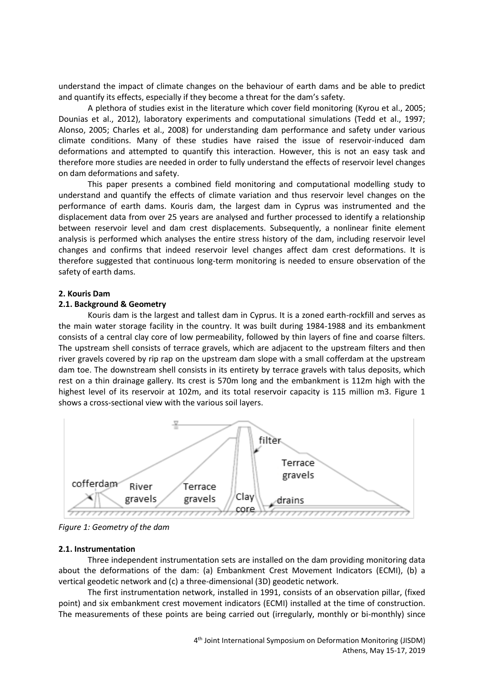understand the impact of climate changes on the behaviour of earth dams and be able to predict and quantify its effects, especially if they become a threat for the dam's safety.

A plethora of studies exist in the literature which cover field monitoring (Kyrou et al., 2005; Dounias et al., 2012), laboratory experiments and computational simulations (Tedd et al., 1997; Alonso, 2005; Charles et al., 2008) for understanding dam performance and safety under various climate conditions. Many of these studies have raised the issue of reservoir-induced dam deformations and attempted to quantify this interaction. However, this is not an easy task and therefore more studies are needed in order to fully understand the effects of reservoir level changes on dam deformations and safety.

This paper presents a combined field monitoring and computational modelling study to understand and quantify the effects of climate variation and thus reservoir level changes on the performance of earth dams. Kouris dam, the largest dam in Cyprus was instrumented and the displacement data from over 25 years are analysed and further processed to identify a relationship between reservoir level and dam crest displacements. Subsequently, a nonlinear finite element analysis is performed which analyses the entire stress history of the dam, including reservoir level changes and confirms that indeed reservoir level changes affect dam crest deformations. It is therefore suggested that continuous long-term monitoring is needed to ensure observation of the safety of earth dams.

#### **2. Kouris Dam**

#### **2.1. Background & Geometry**

Kouris dam is the largest and tallest dam in Cyprus. It is a zoned earth-rockfill and serves as the main water storage facility in the country. It was built during 1984-1988 and its embankment consists of a central clay core of low permeability, followed by thin layers of fine and coarse filters. The upstream shell consists of terrace gravels, which are adjacent to the upstream filters and then river gravels covered by rip rap on the upstream dam slope with a small cofferdam at the upstream dam toe. The downstream shell consists in its entirety by terrace gravels with talus deposits, which rest on a thin drainage gallery. Its crest is 570m long and the embankment is 112m high with the highest level of its reservoir at 102m, and its total reservoir capacity is 115 million m3. Figure 1 shows a cross-sectional view with the various soil layers.



*Figure 1: Geometry of the dam*

#### **2.1. Instrumentation**

Three independent instrumentation sets are installed on the dam providing monitoring data about the deformations of the dam: (a) Embankment Crest Movement Indicators (ECMI), (b) a vertical geodetic network and (c) a three-dimensional (3D) geodetic network.

The first instrumentation network, installed in 1991, consists of an observation pillar, (fixed point) and six embankment crest movement indicators (ECMI) installed at the time of construction. The measurements of these points are being carried out (irregularly, monthly or bi-monthly) since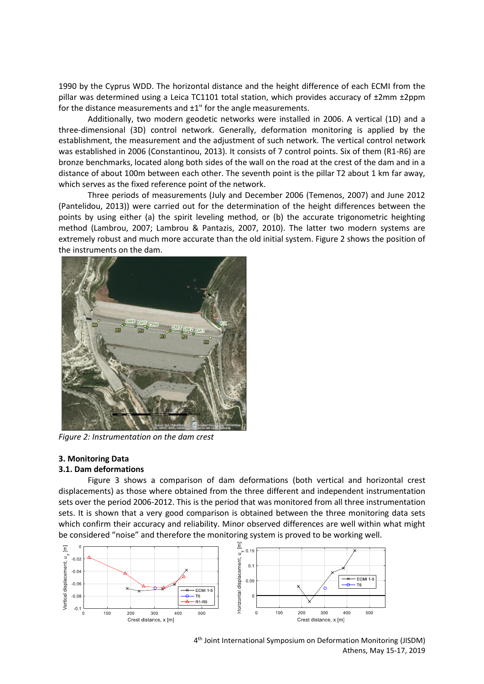1990 by the Cyprus WDD. The horizontal distance and the height difference of each ECMI from the pillar was determined using a Leica TC1101 total station, which provides accuracy of ±2mm ±2ppm for the distance measurements and ±1" for the angle measurements.

Additionally, two modern geodetic networks were installed in 2006. A vertical (1D) and a three-dimensional (3D) control network. Generally, deformation monitoring is applied by the establishment, the measurement and the adjustment of such network. The vertical control network was established in 2006 (Constantinou, 2013). It consists of 7 control points. Six of them (R1-R6) are bronze benchmarks, located along both sides of the wall on the road at the crest of the dam and in a distance of about 100m between each other. The seventh point is the pillar Τ2 about 1 km far away, which serves as the fixed reference point of the network.

Three periods of measurements (July and December 2006 (Temenos, 2007) and June 2012 (Pantelidou, 2013)) were carried out for the determination of the height differences between the points by using either (a) the spirit leveling method, or (b) the accurate trigonometric heighting method (Lambrou, 2007; Lambrou & Pantazis, 2007, 2010). The latter two modern systems are extremely robust and much more accurate than the old initial system. Figure 2 shows the position of the instruments on the dam.



*Figure 2: Instrumentation on the dam crest*

### **3. Monitoring Data**

### **3.1. Dam deformations**

Figure 3 shows a comparison of dam deformations (both vertical and horizontal crest displacements) as those where obtained from the three different and independent instrumentation sets over the period 2006-2012. This is the period that was monitored from all three instrumentation sets. It is shown that a very good comparison is obtained between the three monitoring data sets which confirm their accuracy and reliability. Minor observed differences are well within what might be considered "noise" and therefore the monitoring system is proved to be working well.



4 th Joint International Symposium on Deformation Monitoring (JISDM) Athens, May 15-17, 2019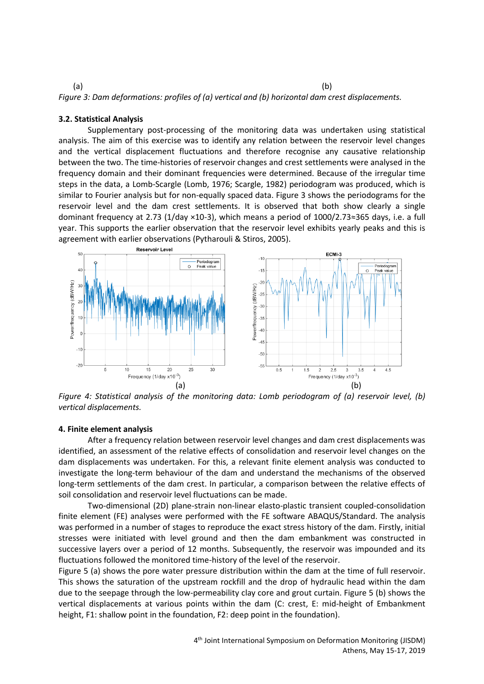$(a)$  (b) *Figure 3: Dam deformations: profiles of (a) vertical and (b) horizontal dam crest displacements.*

# **3.2. Statistical Analysis**

Supplementary post-processing of the monitoring data was undertaken using statistical analysis. The aim of this exercise was to identify any relation between the reservoir level changes and the vertical displacement fluctuations and therefore recognise any causative relationship between the two. The time-histories of reservoir changes and crest settlements were analysed in the frequency domain and their dominant frequencies were determined. Because of the irregular time steps in the data, a Lomb-Scargle (Lomb, 1976; Scargle, 1982) periodogram was produced, which is similar to Fourier analysis but for non-equally spaced data. Figure 3 shows the periodograms for the reservoir level and the dam crest settlements. It is observed that both show clearly a single dominant frequency at 2.73 (1/day ×10-3), which means a period of 1000/2.73≈365 days, i.e. a full year. This supports the earlier observation that the reservoir level exhibits yearly peaks and this is agreement with earlier observations (Pytharouli & Stiros, 2005).



*Figure 4: Statistical analysis of the monitoring data: Lomb periodogram of (a) reservoir level, (b) vertical displacements.*

#### **4. Finite element analysis**

After a frequency relation between reservoir level changes and dam crest displacements was identified, an assessment of the relative effects of consolidation and reservoir level changes on the dam displacements was undertaken. For this, a relevant finite element analysis was conducted to investigate the long-term behaviour of the dam and understand the mechanisms of the observed long-term settlements of the dam crest. In particular, a comparison between the relative effects of soil consolidation and reservoir level fluctuations can be made.

Two-dimensional (2D) plane-strain non-linear elasto-plastic transient coupled-consolidation finite element (FE) analyses were performed with the FE software ABAQUS/Standard. The analysis was performed in a number of stages to reproduce the exact stress history of the dam. Firstly, initial stresses were initiated with level ground and then the dam embankment was constructed in successive layers over a period of 12 months. Subsequently, the reservoir was impounded and its fluctuations followed the monitored time-history of the level of the reservoir.

Figure 5 (a) shows the pore water pressure distribution within the dam at the time of full reservoir. This shows the saturation of the upstream rockfill and the drop of hydraulic head within the dam due to the seepage through the low-permeability clay core and grout curtain. Figure 5 (b) shows the vertical displacements at various points within the dam (C: crest, E: mid-height of Embankment height, F1: shallow point in the foundation, F2: deep point in the foundation).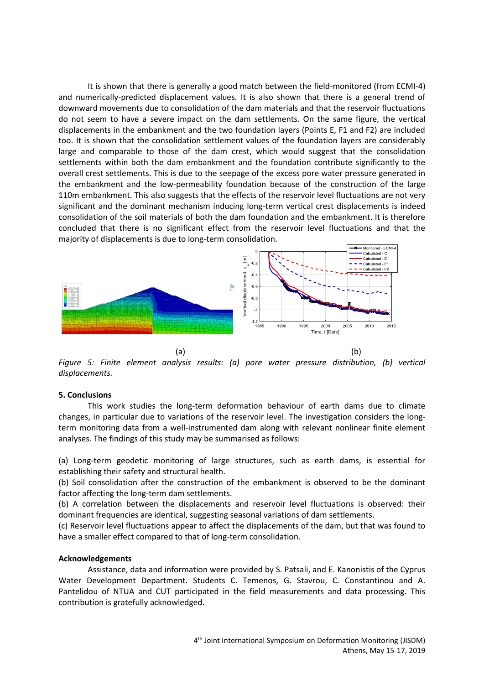It is shown that there is generally a good match between the field-monitored (from ECMI-4) and numerically-predicted displacement values. It is also shown that there is a general trend of downward movements due to consolidation of the dam materials and that the reservoir fluctuations do not seem to have a severe impact on the dam settlements. On the same figure, the vertical displacements in the embankment and the two foundation layers (Points E, F1 and F2) are included too. It is shown that the consolidation settlement values of the foundation layers are considerably large and comparable to those of the dam crest, which would suggest that the consolidation settlements within both the dam embankment and the foundation contribute significantly to the overall crest settlements. This is due to the seepage of the excess pore water pressure generated in the embankment and the low-permeability foundation because of the construction of the large 110m embankment. This also suggests that the effects of the reservoir level fluctuations are not very significant and the dominant mechanism inducing long-term vertical crest displacements is indeed consolidation of the soil materials of both the dam foundation and the embankment. It is therefore concluded that there is no significant effect from the reservoir level fluctuations and that the majority of displacements is due to long-term consolidation.



*Figure 5: Finite element analysis results: (a) pore water pressure distribution, (b) vertical displacements.* 

## **5. Conclusions**

This work studies the long-term deformation behaviour of earth dams due to climate changes, in particular due to variations of the reservoir level. The investigation considers the longterm monitoring data from a well-instrumented dam along with relevant nonlinear finite element analyses. The findings of this study may be summarised as follows:

(a) Long-term geodetic monitoring of large structures, such as earth dams, is essential for establishing their safety and structural health.

(b) Soil consolidation after the construction of the embankment is observed to be the dominant factor affecting the long-term dam settlements.

(b) A correlation between the displacements and reservoir level fluctuations is observed: their dominant frequencies are identical, suggesting seasonal variations of dam settlements.

(c) Reservoir level fluctuations appear to affect the displacements of the dam, but that was found to have a smaller effect compared to that of long-term consolidation.

## **Acknowledgements**

Assistance, data and information were provided by S. Patsali, and E. Kanonistis of the Cyprus Water Development Department. Students C. Temenos, G. Stavrou, C. Constantinou and A. Pantelidou of NTUA and CUT participated in the field measurements and data processing. This contribution is gratefully acknowledged.